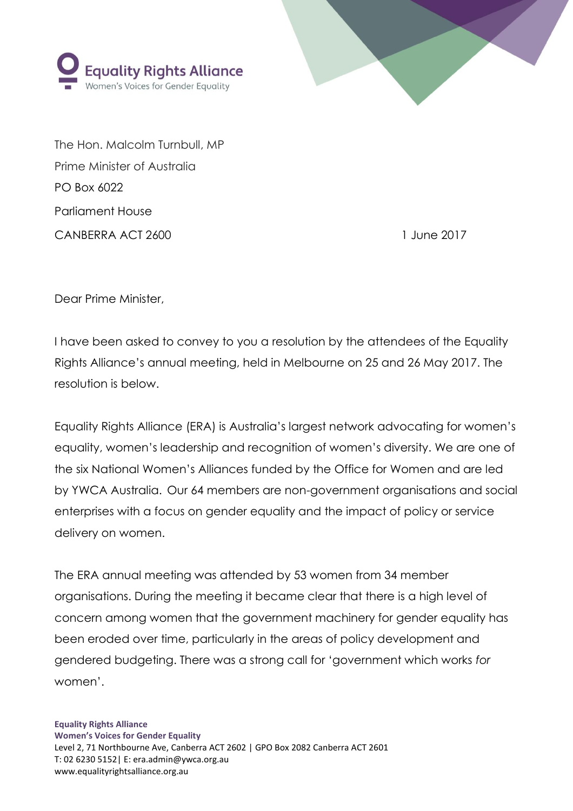

The Hon. Malcolm Turnbull, MP Prime Minister of Australia PO Box 6022 Parliament House CANBERRA ACT 2600 1 June 2017

uality Rights Alliance

Vomen's Voices for Gender Equality

Dear Prime Minister,

I have been asked to convey to you a resolution by the attendees of the Equality Rights Alliance's annual meeting, held in Melbourne on 25 and 26 May 2017. The resolution is below.

Equality Rights Alliance (ERA) is Australia's largest network advocating for women's equality, women's leadership and recognition of women's diversity. We are one of the six National Women's Alliances funded by the Office for Women and are led by YWCA Australia. Our 64 members are non-government organisations and social enterprises with a focus on gender equality and the impact of policy or service delivery on women.

The ERA annual meeting was attended by 53 women from 34 member organisations. During the meeting it became clear that there is a high level of concern among women that the government machinery for gender equality has been eroded over time, particularly in the areas of policy development and gendered budgeting. There was a strong call for 'government which works *for* women'.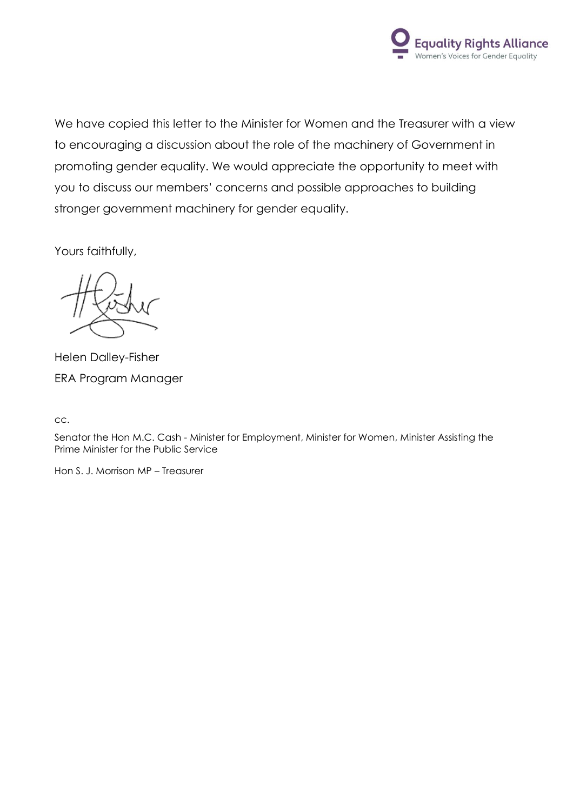

We have copied this letter to the Minister for Women and the Treasurer with a view to encouraging a discussion about the role of the machinery of Government in promoting gender equality. We would appreciate the opportunity to meet with you to discuss our members' concerns and possible approaches to building stronger government machinery for gender equality.

Yours faithfully,

Helen Dalley-Fisher ERA Program Manager

cc.

Senator the Hon M.C. Cash - Minister for Employment, Minister for Women, Minister Assisting the Prime Minister for the Public Service

Hon S. J. Morrison MP – Treasurer